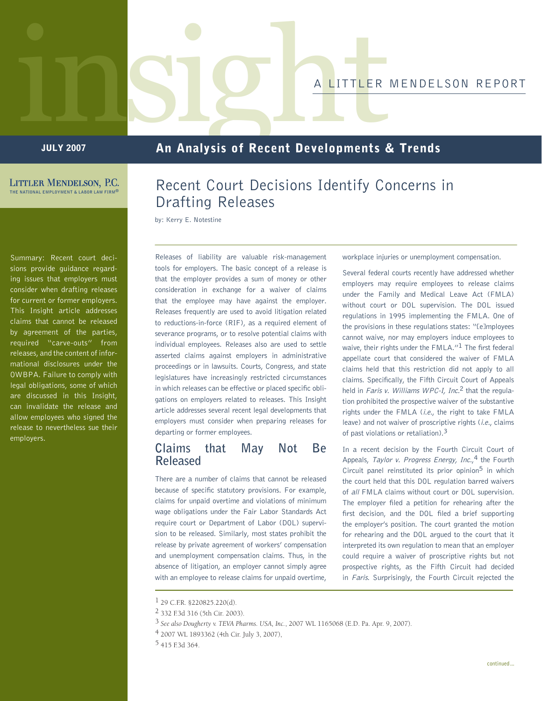# IIIS SIGHTALITTLER MENDELSON REPORT

**JULY 2007** 

# An Analysis of Recent Developments & Trends

**LITTLER MENDELSON, P.C. THE NATIONAL EMPLOYMENT & LABOR LAW FIRM®**

Summary: Recent court decisions provide guidance regarding issues that employers must consider when drafting releases for current or former employers. This Insight article addresses claims that cannot be released by agreement of the parties, required "carve-outs" from releases, and the content of informational disclosures under the OWBPA. Failure to comply with legal obligations, some of which are discussed in this Insight, can invalidate the release and allow employees who signed the release to nevertheless sue their employers.

# Recent Court Decisions Identify Concerns in Drafting Releases

by: Kerry E. Notestine

Releases of liability are valuable risk-management tools for employers. The basic concept of a release is that the employer provides a sum of money or other consideration in exchange for a waiver of claims that the employee may have against the employer. Releases frequently are used to avoid litigation related to reductions-in-force (RIF), as a required element of severance programs, or to resolve potential claims with individual employees. Releases also are used to settle asserted claims against employers in administrative proceedings or in lawsuits. Courts, Congress, and state legislatures have increasingly restricted circumstances in which releases can be effective or placed specific obligations on employers related to releases. This Insight article addresses several recent legal developments that employers must consider when preparing releases for departing or former employees.

## **Claims that May Not Be Released**

There are a number of claims that cannot be released because of specific statutory provisions. For example, claims for unpaid overtime and violations of minimum wage obligations under the Fair Labor Standards Act require court or Department of Labor (DOL) supervision to be released. Similarly, most states prohibit the release by private agreement of workers' compensation and unemployment compensation claims. Thus, in the absence of litigation, an employer cannot simply agree with an employee to release claims for unpaid overtime, workplace injuries or unemployment compensation.

Several federal courts recently have addressed whether employers may require employees to release claims under the Family and Medical Leave Act (FMLA) without court or DOL supervision. The DOL issued regulations in 1995 implementing the FMLA. One of the provisions in these regulations states: "[e]mployees cannot waive, nor may employers induce employees to waive, their rights under the FMLA."<sup>1</sup> The first federal appellate court that considered the waiver of FMLA claims held that this restriction did not apply to all claims. Specifically, the Fifth Circuit Court of Appeals held in Faris v. Williams WPC-I, Inc.<sup>2</sup> that the regulation prohibited the prospective waiver of the substantive rights under the FMLA (i.e., the right to take FMLA leave) and not waiver of proscriptive rights (i.e., claims of past violations or retaliation).3

In a recent decision by the Fourth Circuit Court of Appeals, Taylor v. Progress Energy, Inc.,<sup>4</sup> the Fourth Circuit panel reinstituted its prior opinion<sup>5</sup> in which the court held that this DOL regulation barred waivers of all FMLA claims without court or DOL supervision. The employer filed a petition for rehearing after the first decision, and the DOL filed a brief supporting the employer's position. The court granted the motion for rehearing and the DOL argued to the court that it interpreted its own regulation to mean that an employer could require a waiver of proscriptive rights but not prospective rights, as the Fifth Circuit had decided in Faris. Surprisingly, the Fourth Circuit rejected the

 $1$  29 C.F.R. §220825.220(d).

<sup>2 332</sup> F.3d 316 (5th Cir. 2003).

<sup>3</sup> *See also Dougherty v. TEVA Pharms. USA, Inc.*, 2007 WL 1165068 (E.D. Pa. Apr. 9, 2007).

<sup>4 2007</sup> WL 1893362 (4th Cir. July 3, 2007),

<sup>5 415</sup> F.3d 364.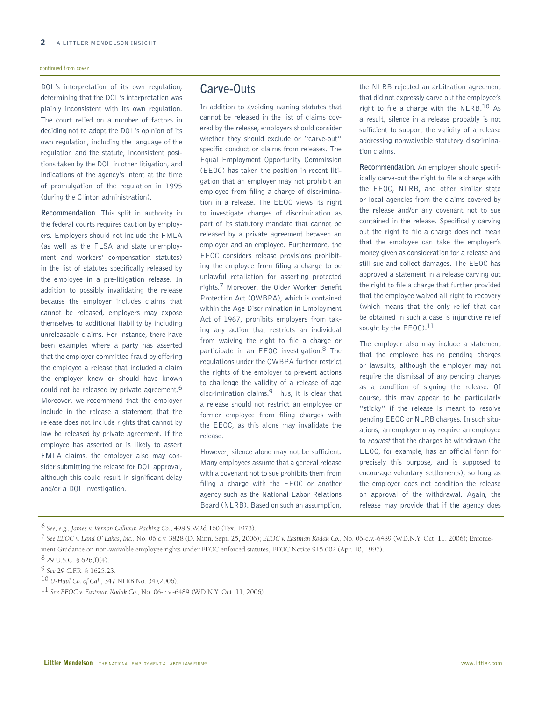#### continued from cover

DOL's interpretation of its own regulation, determining that the DOL's interpretation was plainly inconsistent with its own regulation. The court relied on a number of factors in deciding not to adopt the DOL's opinion of its own regulation, including the language of the regulation and the statute, inconsistent positions taken by the DOL in other litigation, and indications of the agency's intent at the time of promulgation of the regulation in 1995 (during the Clinton administration).

**Recommendation.** This split in authority in the federal courts requires caution by employers. Employers should not include the FMLA (as well as the FLSA and state unemployment and workers' compensation statutes) in the list of statutes specifically released by the employee in a pre-litigation release. In addition to possibly invalidating the release because the employer includes claims that cannot be released, employers may expose themselves to additional liability by including unreleasable claims. For instance, there have been examples where a party has asserted that the employer committed fraud by offering the employee a release that included a claim the employer knew or should have known could not be released by private agreement.<sup>6</sup> Moreover, we recommend that the employer include in the release a statement that the release does not include rights that cannot by law be released by private agreement. If the employee has asserted or is likely to assert FMLA claims, the employer also may consider submitting the release for DOL approval, although this could result in significant delay and/or a DOL investigation.

## **Carve-Outs**

In addition to avoiding naming statutes that cannot be released in the list of claims covered by the release, employers should consider whether they should exclude or "carve-out" specific conduct or claims from releases. The Equal Employment Opportunity Commission (EEOC) has taken the position in recent litigation that an employer may not prohibit an employee from filing a charge of discrimination in a release. The EEOC views its right to investigate charges of discrimination as part of its statutory mandate that cannot be released by a private agreement between an employer and an employee. Furthermore, the EEOC considers release provisions prohibiting the employee from filing a charge to be unlawful retaliation for asserting protected rights.<sup>7</sup> Moreover, the Older Worker Benefit Protection Act (OWBPA), which is contained within the Age Discrimination in Employment Act of 1967, prohibits employers from taking any action that restricts an individual from waiving the right to file a charge or participate in an EEOC investigation.8 The regulations under the OWBPA further restrict the rights of the employer to prevent actions to challenge the validity of a release of age discrimination claims.9 Thus, it is clear that a release should not restrict an employee or former employee from filing charges with the EEOC, as this alone may invalidate the release.

However, silence alone may not be sufficient. Many employees assume that a general release with a covenant not to sue prohibits them from filing a charge with the EEOC or another agency such as the National Labor Relations Board (NLRB). Based on such an assumption,

the NLRB rejected an arbitration agreement that did not expressly carve out the employee's right to file a charge with the NLRB.10 As a result, silence in a release probably is not sufficient to support the validity of a release addressing nonwaivable statutory discrimination claims.

**Recommendation.** An employer should specifically carve-out the right to file a charge with the EEOC, NLRB, and other similar state or local agencies from the claims covered by the release and/or any covenant not to sue contained in the release. Specifically carving out the right to file a charge does not mean that the employee can take the employer's money given as consideration for a release and still sue and collect damages. The EEOC has approved a statement in a release carving out the right to file a charge that further provided that the employee waived all right to recovery (which means that the only relief that can be obtained in such a case is injunctive relief sought by the  $EEOC$ ).<sup>11</sup>

The employer also may include a statement that the employee has no pending charges or lawsuits, although the employer may not require the dismissal of any pending charges as a condition of signing the release. Of course, this may appear to be particularly "sticky" if the release is meant to resolve pending EEOC or NLRB charges. In such situations, an employer may require an employee to request that the charges be withdrawn (the EEOC, for example, has an official form for precisely this purpose, and is supposed to encourage voluntary settlements), so long as the employer does not condition the release on approval of the withdrawal. Again, the release may provide that if the agency does

<sup>6</sup> *See, e.g., James v. Vernon Calhoun Packing Co.*, 498 S.W.2d 160 (Tex. 1973).

<sup>7</sup> *See EEOC v. Land O' Lakes, Inc.*, No. 06 c.v. 3828 (D. Minn. Sept. 25, 2006); *EEOC v. Eastman Kodak Co.*, No. 06-c.v.-6489 (W.D.N.Y. Oct. 11, 2006); Enforcement Guidance on non-waivable employee rights under EEOC enforced statutes, EEOC Notice 915.002 (Apr. 10, 1997).

<sup>8 29</sup> U.S.C. § 626(f)(4). 9 *See* 29 C.F.R. § 1625.23.

<sup>10</sup> *U-Haul Co. of Cal.*, 347 NLRB No. 34 (2006).

<sup>11</sup> *See EEOC v. Eastman Kodak Co.*, No. 06-c.v.-6489 (W.D.N.Y. Oct. 11, 2006)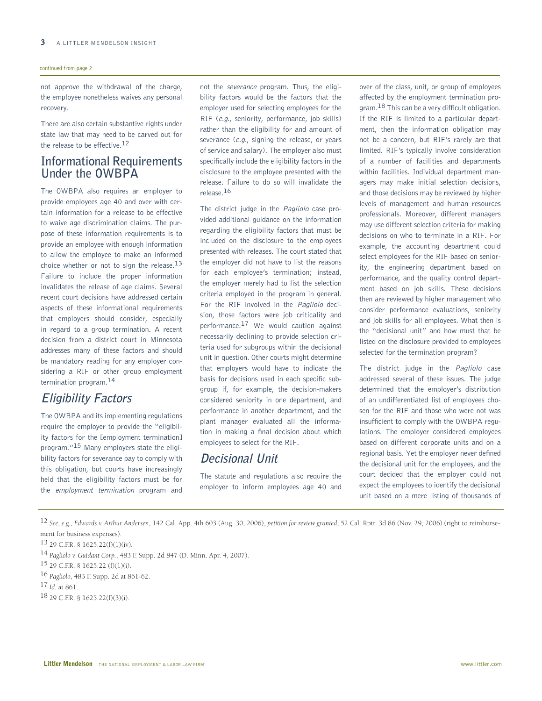#### continued from page 2

not approve the withdrawal of the charge, the employee nonetheless waives any personal recovery.

There are also certain substantive rights under state law that may need to be carved out for the release to be effective.12

## **Informational Requirements Under the OWBPA**

The OWBPA also requires an employer to provide employees age 40 and over with certain information for a release to be effective to waive age discrimination claims. The purpose of these information requirements is to provide an employee with enough information to allow the employee to make an informed choice whether or not to sign the release. $13$ Failure to include the proper information invalidates the release of age claims. Several recent court decisions have addressed certain aspects of these informational requirements that employers should consider, especially in regard to a group termination. A recent decision from a district court in Minnesota addresses many of these factors and should be mandatory reading for any employer considering a RIF or other group employment termination program.14

# **Eligibility Factors**

The OWBPA and its implementing regulations require the employer to provide the "eligibility factors for the [employment termination] program."15 Many employers state the eligibility factors for severance pay to comply with this obligation, but courts have increasingly held that the eligibility factors must be for the employment termination program and not the severance program. Thus, the eligibility factors would be the factors that the employer used for selecting employees for the RIF (e.g., seniority, performance, job skills) rather than the eligibility for and amount of severance (e.g., signing the release, or years of service and salary). The employer also must specifically include the eligibility factors in the disclosure to the employee presented with the release. Failure to do so will invalidate the release.16

The district judge in the Pagliolo case provided additional guidance on the information regarding the eligibility factors that must be included on the disclosure to the employees presented with releases. The court stated that the employer did not have to list the reasons for each employee's termination; instead, the employer merely had to list the selection criteria employed in the program in general. For the RIF involved in the Pagliolo decision, those factors were job criticality and performance.17 We would caution against necessarily declining to provide selection criteria used for subgroups within the decisional unit in question. Other courts might determine that employers would have to indicate the basis for decisions used in each specific subgroup if, for example, the decision-makers considered seniority in one department, and performance in another department, and the plant manager evaluated all the information in making a final decision about which employees to select for the RIF.

## **Decisional Unit**

The statute and regulations also require the employer to inform employees age 40 and over of the class, unit, or group of employees affected by the employment termination program.<sup>18</sup> This can be a very difficult obligation. If the RIF is limited to a particular department, then the information obligation may not be a concern, but RIF's rarely are that limited. RIF's typically involve consideration of a number of facilities and departments within facilities. Individual department managers may make initial selection decisions, and those decisions may be reviewed by higher levels of management and human resources professionals. Moreover, different managers may use different selection criteria for making decisions on who to terminate in a RIF. For example, the accounting department could select employees for the RIF based on seniority, the engineering department based on performance, and the quality control department based on job skills. These decisions then are reviewed by higher management who consider performance evaluations, seniority and job skills for all employees. What then is the "decisional unit" and how must that be listed on the disclosure provided to employees selected for the termination program?

The district judge in the Pagliolo case addressed several of these issues. The judge determined that the employer's distribution of an undifferentiated list of employees chosen for the RIF and those who were not was insufficient to comply with the OWBPA regulations. The employer considered employees based on different corporate units and on a regional basis. Yet the employer never defined the decisional unit for the employees, and the court decided that the employer could not expect the employees to identify the decisional unit based on a mere listing of thousands of

12 *See, e.g., Edwards v. Arthur Andersen*, 142 Cal. App. 4th 603 (Aug. 30, 2006), *petition for review granted*, 52 Cal. Rptr. 3d 86 (Nov. 29, 2006) (right to reimbursement for business expenses).

<sup>13 29</sup> C.F.R. § 1625.22(f)(1)(iv)*.*

<sup>14</sup> *Pagliolo v. Guidant Corp.*, 483 F. Supp. 2d 847 (D. Minn. Apr. 4, 2007).

<sup>15 29</sup> C.F.R. § 1625.22 (f)(1)(i).

<sup>16</sup> *Pagliolo*, 483 F. Supp. 2d at 861-62.

<sup>17</sup> *Id.* at 861.

<sup>18 29</sup> C.F.R. § 1625.22(f)(3)(i).